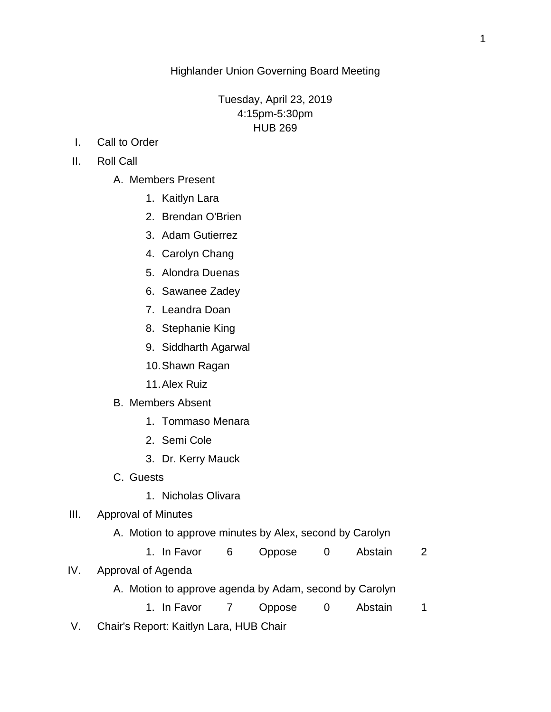## Highlander Union Governing Board Meeting

Tuesday, April 23, 2019 4:15pm-5:30pm HUB 269

- I. Call to Order
- II. Roll Call
	- A. Members Present
		- 1. Kaitlyn Lara
		- 2. Brendan O'Brien
		- 3. Adam Gutierrez
		- 4. Carolyn Chang
		- 5. Alondra Duenas
		- 6. Sawanee Zadey
		- 7. Leandra Doan
		- 8. Stephanie King
		- 9. Siddharth Agarwal
		- 10.Shawn Ragan
		- 11.Alex Ruiz
	- B. Members Absent
		- 1. Tommaso Menara
		- 2. Semi Cole
		- 3. Dr. Kerry Mauck
	- C. Guests
		- 1. Nicholas Olivara
- III. Approval of Minutes
	- A. Motion to approve minutes by Alex, second by Carolyn
		- 1. In Favor 6 Oppose 0 Abstain 2
- IV. Approval of Agenda
	- A. Motion to approve agenda by Adam, second by Carolyn
		- 1. In Favor 7 Oppose 0 Abstain 1
- V. Chair's Report: Kaitlyn Lara, HUB Chair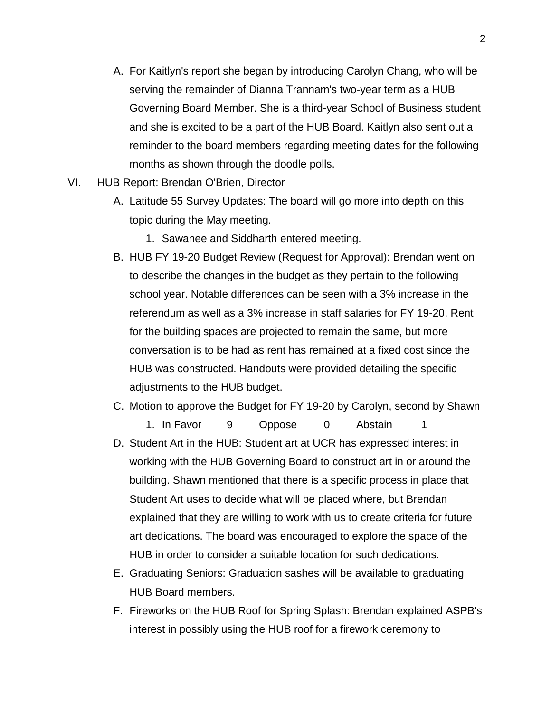- A. For Kaitlyn's report she began by introducing Carolyn Chang, who will be serving the remainder of Dianna Trannam's two-year term as a HUB Governing Board Member. She is a third-year School of Business student and she is excited to be a part of the HUB Board. Kaitlyn also sent out a reminder to the board members regarding meeting dates for the following months as shown through the doodle polls.
- VI. HUB Report: Brendan O'Brien, Director
	- A. Latitude 55 Survey Updates: The board will go more into depth on this topic during the May meeting.
		- 1. Sawanee and Siddharth entered meeting.
	- B. HUB FY 19-20 Budget Review (Request for Approval): Brendan went on to describe the changes in the budget as they pertain to the following school year. Notable differences can be seen with a 3% increase in the referendum as well as a 3% increase in staff salaries for FY 19-20. Rent for the building spaces are projected to remain the same, but more conversation is to be had as rent has remained at a fixed cost since the HUB was constructed. Handouts were provided detailing the specific adjustments to the HUB budget.
	- C. Motion to approve the Budget for FY 19-20 by Carolyn, second by Shawn 1. In Favor 9 Oppose 0 Abstain 1
	- D. Student Art in the HUB: Student art at UCR has expressed interest in working with the HUB Governing Board to construct art in or around the building. Shawn mentioned that there is a specific process in place that Student Art uses to decide what will be placed where, but Brendan explained that they are willing to work with us to create criteria for future art dedications. The board was encouraged to explore the space of the HUB in order to consider a suitable location for such dedications.
	- E. Graduating Seniors: Graduation sashes will be available to graduating HUB Board members.
	- F. Fireworks on the HUB Roof for Spring Splash: Brendan explained ASPB's interest in possibly using the HUB roof for a firework ceremony to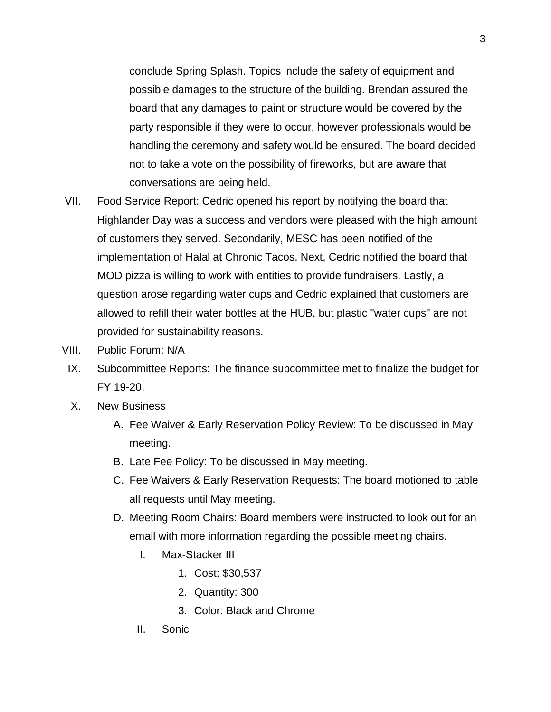conclude Spring Splash. Topics include the safety of equipment and possible damages to the structure of the building. Brendan assured the board that any damages to paint or structure would be covered by the party responsible if they were to occur, however professionals would be handling the ceremony and safety would be ensured. The board decided not to take a vote on the possibility of fireworks, but are aware that conversations are being held.

- VII. Food Service Report: Cedric opened his report by notifying the board that Highlander Day was a success and vendors were pleased with the high amount of customers they served. Secondarily, MESC has been notified of the implementation of Halal at Chronic Tacos. Next, Cedric notified the board that MOD pizza is willing to work with entities to provide fundraisers. Lastly, a question arose regarding water cups and Cedric explained that customers are allowed to refill their water bottles at the HUB, but plastic "water cups" are not provided for sustainability reasons.
- VIII. Public Forum: N/A
- IX. Subcommittee Reports: The finance subcommittee met to finalize the budget for FY 19-20.
- X. New Business
	- A. Fee Waiver & Early Reservation Policy Review: To be discussed in May meeting.
	- B. Late Fee Policy: To be discussed in May meeting.
	- C. Fee Waivers & Early Reservation Requests: The board motioned to table all requests until May meeting.
	- D. Meeting Room Chairs: Board members were instructed to look out for an email with more information regarding the possible meeting chairs.
		- I. Max-Stacker III
			- 1. Cost: \$30,537
			- 2. Quantity: 300
			- 3. Color: Black and Chrome
		- II. Sonic